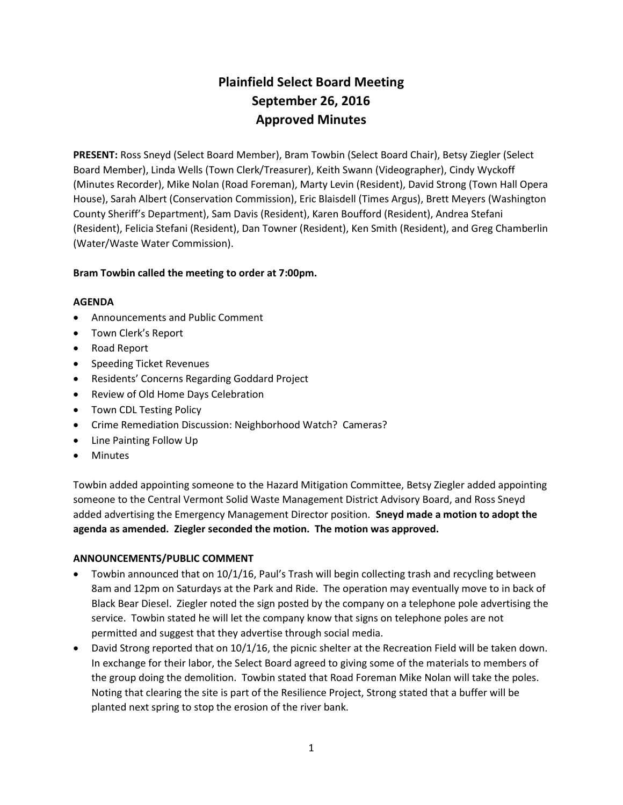# Plainfield Select Board Meeting September 26, 2016 Approved Minutes

PRESENT: Ross Sneyd (Select Board Member), Bram Towbin (Select Board Chair), Betsy Ziegler (Select Board Member), Linda Wells (Town Clerk/Treasurer), Keith Swann (Videographer), Cindy Wyckoff (Minutes Recorder), Mike Nolan (Road Foreman), Marty Levin (Resident), David Strong (Town Hall Opera House), Sarah Albert (Conservation Commission), Eric Blaisdell (Times Argus), Brett Meyers (Washington County Sheriff's Department), Sam Davis (Resident), Karen Boufford (Resident), Andrea Stefani (Resident), Felicia Stefani (Resident), Dan Towner (Resident), Ken Smith (Resident), and Greg Chamberlin (Water/Waste Water Commission).

## Bram Towbin called the meeting to order at 7:00pm.

## AGENDA

- Announcements and Public Comment
- Town Clerk's Report
- Road Report
- Speeding Ticket Revenues
- Residents' Concerns Regarding Goddard Project
- Review of Old Home Days Celebration
- Town CDL Testing Policy
- Crime Remediation Discussion: Neighborhood Watch? Cameras?
- Line Painting Follow Up
- Minutes

Towbin added appointing someone to the Hazard Mitigation Committee, Betsy Ziegler added appointing someone to the Central Vermont Solid Waste Management District Advisory Board, and Ross Sneyd added advertising the Emergency Management Director position. Sneyd made a motion to adopt the agenda as amended. Ziegler seconded the motion. The motion was approved.

# ANNOUNCEMENTS/PUBLIC COMMENT

- Towbin announced that on 10/1/16, Paul's Trash will begin collecting trash and recycling between 8am and 12pm on Saturdays at the Park and Ride. The operation may eventually move to in back of Black Bear Diesel. Ziegler noted the sign posted by the company on a telephone pole advertising the service. Towbin stated he will let the company know that signs on telephone poles are not permitted and suggest that they advertise through social media.
- David Strong reported that on 10/1/16, the picnic shelter at the Recreation Field will be taken down. In exchange for their labor, the Select Board agreed to giving some of the materials to members of the group doing the demolition. Towbin stated that Road Foreman Mike Nolan will take the poles. Noting that clearing the site is part of the Resilience Project, Strong stated that a buffer will be planted next spring to stop the erosion of the river bank.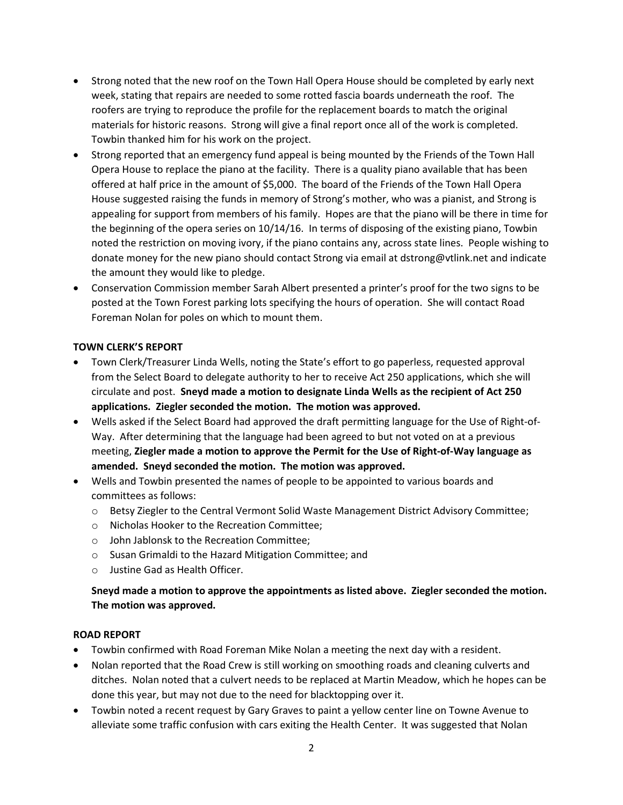- Strong noted that the new roof on the Town Hall Opera House should be completed by early next week, stating that repairs are needed to some rotted fascia boards underneath the roof. The roofers are trying to reproduce the profile for the replacement boards to match the original materials for historic reasons. Strong will give a final report once all of the work is completed. Towbin thanked him for his work on the project.
- Strong reported that an emergency fund appeal is being mounted by the Friends of the Town Hall Opera House to replace the piano at the facility. There is a quality piano available that has been offered at half price in the amount of \$5,000. The board of the Friends of the Town Hall Opera House suggested raising the funds in memory of Strong's mother, who was a pianist, and Strong is appealing for support from members of his family. Hopes are that the piano will be there in time for the beginning of the opera series on 10/14/16. In terms of disposing of the existing piano, Towbin noted the restriction on moving ivory, if the piano contains any, across state lines. People wishing to donate money for the new piano should contact Strong via email at dstrong@vtlink.net and indicate the amount they would like to pledge.
- Conservation Commission member Sarah Albert presented a printer's proof for the two signs to be posted at the Town Forest parking lots specifying the hours of operation. She will contact Road Foreman Nolan for poles on which to mount them.

## TOWN CLERK'S REPORT

- Town Clerk/Treasurer Linda Wells, noting the State's effort to go paperless, requested approval from the Select Board to delegate authority to her to receive Act 250 applications, which she will circulate and post. Sneyd made a motion to designate Linda Wells as the recipient of Act 250 applications. Ziegler seconded the motion. The motion was approved.
- Wells asked if the Select Board had approved the draft permitting language for the Use of Right-of-Way. After determining that the language had been agreed to but not voted on at a previous meeting, Ziegler made a motion to approve the Permit for the Use of Right-of-Way language as amended. Sneyd seconded the motion. The motion was approved.
- Wells and Towbin presented the names of people to be appointed to various boards and committees as follows:
	- o Betsy Ziegler to the Central Vermont Solid Waste Management District Advisory Committee;
	- o Nicholas Hooker to the Recreation Committee;
	- o John Jablonsk to the Recreation Committee;
	- o Susan Grimaldi to the Hazard Mitigation Committee; and
	- o Justine Gad as Health Officer.

# Sneyd made a motion to approve the appointments as listed above. Ziegler seconded the motion. The motion was approved.

## ROAD REPORT

- Towbin confirmed with Road Foreman Mike Nolan a meeting the next day with a resident.
- Nolan reported that the Road Crew is still working on smoothing roads and cleaning culverts and ditches. Nolan noted that a culvert needs to be replaced at Martin Meadow, which he hopes can be done this year, but may not due to the need for blacktopping over it.
- Towbin noted a recent request by Gary Graves to paint a yellow center line on Towne Avenue to alleviate some traffic confusion with cars exiting the Health Center. It was suggested that Nolan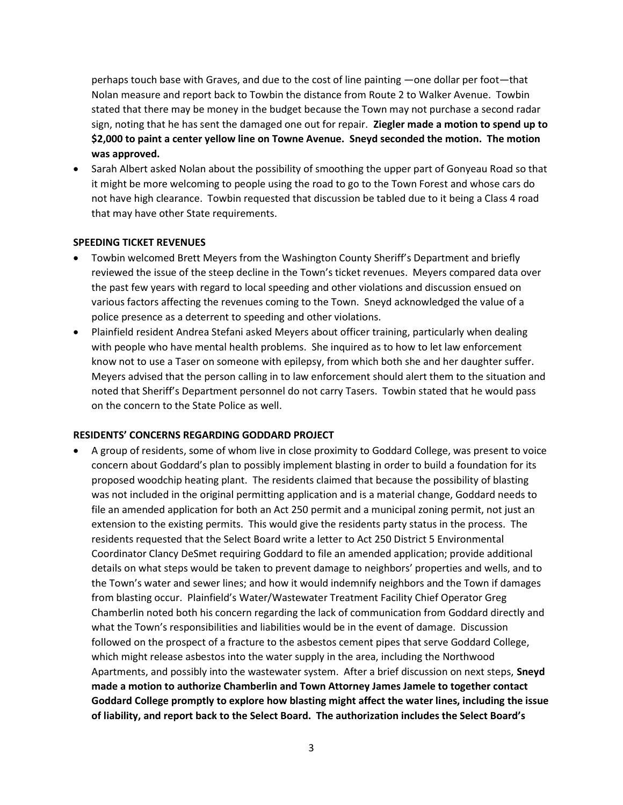perhaps touch base with Graves, and due to the cost of line painting —one dollar per foot—that Nolan measure and report back to Towbin the distance from Route 2 to Walker Avenue. Towbin stated that there may be money in the budget because the Town may not purchase a second radar sign, noting that he has sent the damaged one out for repair. Ziegler made a motion to spend up to \$2,000 to paint a center yellow line on Towne Avenue. Sneyd seconded the motion. The motion was approved.

 Sarah Albert asked Nolan about the possibility of smoothing the upper part of Gonyeau Road so that it might be more welcoming to people using the road to go to the Town Forest and whose cars do not have high clearance. Towbin requested that discussion be tabled due to it being a Class 4 road that may have other State requirements.

#### SPEEDING TICKET REVENUES

- Towbin welcomed Brett Meyers from the Washington County Sheriff's Department and briefly reviewed the issue of the steep decline in the Town's ticket revenues. Meyers compared data over the past few years with regard to local speeding and other violations and discussion ensued on various factors affecting the revenues coming to the Town. Sneyd acknowledged the value of a police presence as a deterrent to speeding and other violations.
- Plainfield resident Andrea Stefani asked Meyers about officer training, particularly when dealing with people who have mental health problems. She inquired as to how to let law enforcement know not to use a Taser on someone with epilepsy, from which both she and her daughter suffer. Meyers advised that the person calling in to law enforcement should alert them to the situation and noted that Sheriff's Department personnel do not carry Tasers. Towbin stated that he would pass on the concern to the State Police as well.

#### RESIDENTS' CONCERNS REGARDING GODDARD PROJECT

 A group of residents, some of whom live in close proximity to Goddard College, was present to voice concern about Goddard's plan to possibly implement blasting in order to build a foundation for its proposed woodchip heating plant. The residents claimed that because the possibility of blasting was not included in the original permitting application and is a material change, Goddard needs to file an amended application for both an Act 250 permit and a municipal zoning permit, not just an extension to the existing permits. This would give the residents party status in the process. The residents requested that the Select Board write a letter to Act 250 District 5 Environmental Coordinator Clancy DeSmet requiring Goddard to file an amended application; provide additional details on what steps would be taken to prevent damage to neighbors' properties and wells, and to the Town's water and sewer lines; and how it would indemnify neighbors and the Town if damages from blasting occur. Plainfield's Water/Wastewater Treatment Facility Chief Operator Greg Chamberlin noted both his concern regarding the lack of communication from Goddard directly and what the Town's responsibilities and liabilities would be in the event of damage. Discussion followed on the prospect of a fracture to the asbestos cement pipes that serve Goddard College, which might release asbestos into the water supply in the area, including the Northwood Apartments, and possibly into the wastewater system. After a brief discussion on next steps, Sneyd made a motion to authorize Chamberlin and Town Attorney James Jamele to together contact Goddard College promptly to explore how blasting might affect the water lines, including the issue of liability, and report back to the Select Board. The authorization includes the Select Board's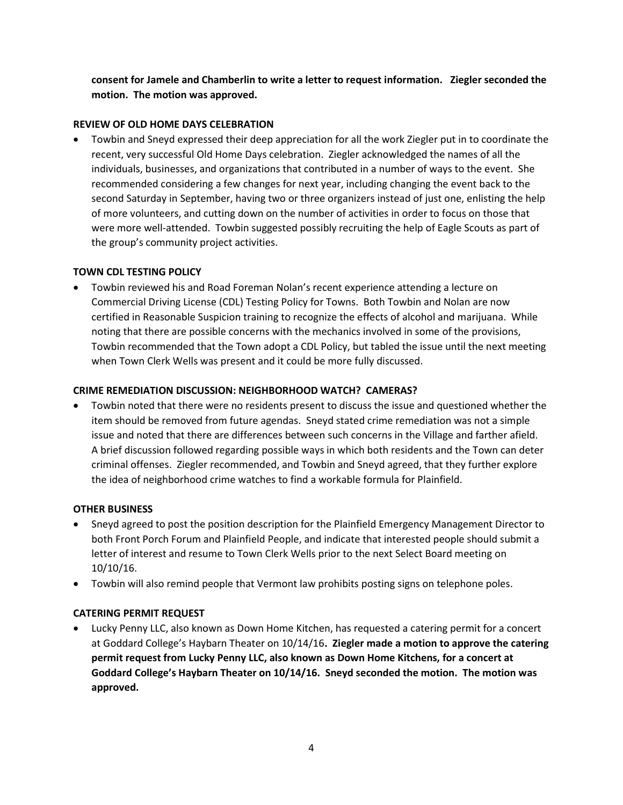consent for Jamele and Chamberlin to write a letter to request information. Ziegler seconded the motion. The motion was approved.

## REVIEW OF OLD HOME DAYS CELEBRATION

 Towbin and Sneyd expressed their deep appreciation for all the work Ziegler put in to coordinate the recent, very successful Old Home Days celebration. Ziegler acknowledged the names of all the individuals, businesses, and organizations that contributed in a number of ways to the event. She recommended considering a few changes for next year, including changing the event back to the second Saturday in September, having two or three organizers instead of just one, enlisting the help of more volunteers, and cutting down on the number of activities in order to focus on those that were more well-attended. Towbin suggested possibly recruiting the help of Eagle Scouts as part of the group's community project activities.

## TOWN CDL TESTING POLICY

 Towbin reviewed his and Road Foreman Nolan's recent experience attending a lecture on Commercial Driving License (CDL) Testing Policy for Towns. Both Towbin and Nolan are now certified in Reasonable Suspicion training to recognize the effects of alcohol and marijuana. While noting that there are possible concerns with the mechanics involved in some of the provisions, Towbin recommended that the Town adopt a CDL Policy, but tabled the issue until the next meeting when Town Clerk Wells was present and it could be more fully discussed.

## CRIME REMEDIATION DISCUSSION: NEIGHBORHOOD WATCH? CAMERAS?

 Towbin noted that there were no residents present to discuss the issue and questioned whether the item should be removed from future agendas. Sneyd stated crime remediation was not a simple issue and noted that there are differences between such concerns in the Village and farther afield. A brief discussion followed regarding possible ways in which both residents and the Town can deter criminal offenses. Ziegler recommended, and Towbin and Sneyd agreed, that they further explore the idea of neighborhood crime watches to find a workable formula for Plainfield.

# OTHER BUSINESS

- Sneyd agreed to post the position description for the Plainfield Emergency Management Director to both Front Porch Forum and Plainfield People, and indicate that interested people should submit a letter of interest and resume to Town Clerk Wells prior to the next Select Board meeting on 10/10/16.
- Towbin will also remind people that Vermont law prohibits posting signs on telephone poles.

## CATERING PERMIT REQUEST

 Lucky Penny LLC, also known as Down Home Kitchen, has requested a catering permit for a concert at Goddard College's Haybarn Theater on 10/14/16. Ziegler made a motion to approve the catering permit request from Lucky Penny LLC, also known as Down Home Kitchens, for a concert at Goddard College's Haybarn Theater on 10/14/16. Sneyd seconded the motion. The motion was approved.